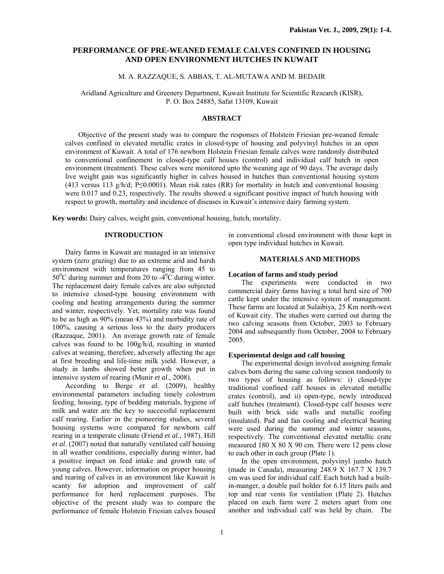# **PERFORMANCE OF PRE-WEANED FEMALE CALVES CONFINED IN HOUSING AND OPEN ENVIRONMENT HUTCHES IN KUWAIT**

# M. A. RAZZAQUE, S. ABBAS, T. AL-MUTAWA AND M. BEDAIR

Aridland Agriculture and Greenery Department, Kuwait Institute for Scientific Research (KISR), P. O. Box 24885, Safat 13109, Kuwait

### **ABSTRACT**

Objective of the present study was to compare the responses of Holstein Friesian pre-weaned female calves confined in elevated metallic crates in closed-type of housing and polyvinyl hutches in an open environment of Kuwait. A total of 176 newborn Holstein Friesian female calves were randomly distributed to conventional confinement in closed-type calf houses (control) and individual calf hutch in open environment (treatment). These calves were monitored upto the weaning age of 90 days. The average daily live weight gain was significantly higher in calves housed in hutches than conventional housing system (413 versus 113 g/h/d; P≤0.0001). Mean risk rates (RR) for mortality in hutch and conventional housing were 0.017 and 0.23, respectively. The results showed a significant positive impact of hutch housing with respect to growth, mortality and incidence of diseases in Kuwait's intensive dairy farming system.

**Key words:** Dairy calves, weight gain, conventional housing, hutch, mortality.

### **INTRODUCTION**

Dairy farms in Kuwait are managed in an intensive system (zero grazing) due to an extreme arid and harsh environment with temperatures ranging from 45 to  $50^{\circ}$ C during summer and from 20 to -4 $^{\circ}$ C during winter. The replacement dairy female calves are also subjected to intensive closed-type housing environment with cooling and heating arrangements during the summer and winter, respectively. Yet, mortality rate was found to be as high as 90% (mean 43%) and morbidity rate of 100%, causing a serious loss to the dairy producers (Razzaque, 2001). An average growth rate of female calves was found to be 100g/h/d, resulting in stunted calves at weaning, therefore, adversely affecting the age at first breeding and life-time milk yield. However, a study in lambs showed better growth when put in intensive system of rearing (Munir *et al*., 2008).

According to Berge *et al.* (2009), healthy environmental parameters including timely colostrum feeding, housing, type of bedding materials, hygiene of milk and water are the key to successful replacement calf rearing. Earlier in the pioneering studies, several housing systems were compared for newborn calf rearing in a temperate climate (Friend *et al*., 1987). Hill *et al*. (2007) noted that naturally ventilated calf housing in all weather conditions, especially during winter, had a positive impact on feed intake and growth rate of young calves. However, information on proper housing and rearing of calves in an environment like Kuwait is scanty for adoption and improvement of calf performance for herd replacement purposes. The objective of the present study was to compare the performance of female Holstein Friesian calves housed

in conventional closed environment with those kept in open type individual hutches in Kuwait.

# **MATERIALS AND METHODS**

### **Location of farms and study period**

The experiments were conducted in two commercial dairy farms having a total herd size of 700 cattle kept under the intensive system of management. These farms are located at Sulaibiya, 25 Km north-west of Kuwait city. The studies were carried out during the two calving seasons from October, 2003 to February 2004 and subsequently from October, 2004 to February 2005.

### **Experimental design and calf housing**

The experimental design involved assigning female calves born during the same calving season randomly to two types of housing as follows: i) closed-type traditional confined calf houses in elevated metallic crates (control), and ii) open-type, newly introduced calf hutches (treatment). Closed-type calf houses were built with brick side walls and metallic roofing (insulated). Pad and fan cooling and electrical heating were used during the summer and winter seasons, respectively. The conventional elevated metallic crate measured 180 X 80 X 90 cm. There were 12 pens close to each other in each group (Plate 1).

In the open environment, polyvinyl jumbo hutch (made in Canada), measuring 248.9 X 167.7 X 139.7 cm was used for individual calf. Each hutch had a builtin-manger, a double pail holder for 6.15 liters pails and top and rear vents for ventilation (Plate 2). Hutches placed on each farm were 2 meters apart from one another and individual calf was held by chain. The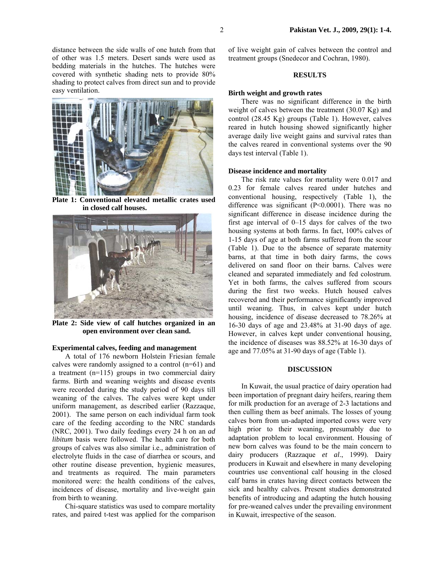distance between the side walls of one hutch from that of other was 1.5 meters. Desert sands were used as bedding materials in the hutches. The hutches were covered with synthetic shading nets to provide 80% shading to protect calves from direct sun and to provide easy ventilation.



**Plate 1: Conventional elevated metallic crates used in closed calf houses.** 



**Plate 2: Side view of calf hutches organized in an open environment over clean sand.** 

#### **Experimental calves, feeding and management**

A total of 176 newborn Holstein Friesian female calves were randomly assigned to a control (n=61) and a treatment (n=115) groups in two commercial dairy farms. Birth and weaning weights and disease events were recorded during the study period of 90 days till weaning of the calves. The calves were kept under uniform management, as described earlier (Razzaque, 2001). The same person on each individual farm took care of the feeding according to the NRC standards (NRC, 2001). Two daily feedings every 24 h on an *ad libitum* basis were followed. The health care for both groups of calves was also similar i.e., administration of electrolyte fluids in the case of diarrhea or scours, and other routine disease prevention, hygienic measures, and treatments as required. The main parameters monitored were: the health conditions of the calves, incidences of disease, mortality and live-weight gain from birth to weaning.

Chi-square statistics was used to compare mortality rates, and paired t-test was applied for the comparison

of live weight gain of calves between the control and treatment groups (Snedecor and Cochran, 1980).

### **RESULTS**

### **Birth weight and growth rates**

There was no significant difference in the birth weight of calves between the treatment (30.07 Kg) and control (28.45 Kg) groups (Table 1). However, calves reared in hutch housing showed significantly higher average daily live weight gains and survival rates than the calves reared in conventional systems over the 90 days test interval (Table 1).

# **Disease incidence and mortality**

The risk rate values for mortality were 0.017 and 0.23 for female calves reared under hutches and conventional housing, respectively (Table 1), the difference was significant (P<0.0001). There was no significant difference in disease incidence during the first age interval of 0–15 days for calves of the two housing systems at both farms. In fact, 100% calves of 1-15 days of age at both farms suffered from the scour (Table 1). Due to the absence of separate maternity barns, at that time in both dairy farms, the cows delivered on sand floor on their barns. Calves were cleaned and separated immediately and fed colostrum. Yet in both farms, the calves suffered from scours during the first two weeks. Hutch housed calves recovered and their performance significantly improved until weaning. Thus, in calves kept under hutch housing, incidence of disease decreased to 78.26% at 16-30 days of age and 23.48% at 31-90 days of age. However, in calves kept under conventional housing, the incidence of diseases was 88.52% at 16-30 days of age and 77.05% at 31-90 days of age (Table 1).

#### **DISCUSSION**

In Kuwait, the usual practice of dairy operation had been importation of pregnant dairy heifers, rearing them for milk production for an average of 2-3 lactations and then culling them as beef animals. The losses of young calves born from un-adapted imported cows were very high prior to their weaning, presumably due to adaptation problem to local environment. Housing of new born calves was found to be the main concern to dairy producers (Razzaque *et al*., 1999). Dairy producers in Kuwait and elsewhere in many developing countries use conventional calf housing in the closed calf barns in crates having direct contacts between the sick and healthy calves. Present studies demonstrated benefits of introducing and adapting the hutch housing for pre-weaned calves under the prevailing environment in Kuwait, irrespective of the season.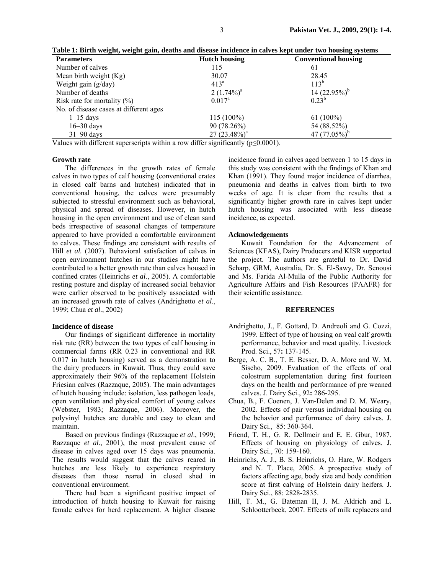| <b>Parameters</b>                      | <b>Hutch housing</b> | --- <i>--</i><br><b>Conventional housing</b> |
|----------------------------------------|----------------------|----------------------------------------------|
| Number of calves                       | 115                  | 61                                           |
| Mean birth weight $(Kg)$               | 30.07                | 28.45                                        |
| Weight gain $(g/day)$                  | $413^a$              | $113^{b}$                                    |
| Number of deaths                       | $2(1.74\%)^a$        | 14 $(22.95\%)^b$                             |
| Risk rate for mortality $(\%)$         | $0.017^a$            | $0.23^{b}$                                   |
| No. of disease cases at different ages |                      |                                              |
| $1-15$ days                            | $115(100\%)$         | $61(100\%)$                                  |
| $16 - 30$ days                         | 90 (78.26%)          | 54 (88.52%)                                  |
| $31-90$ days                           | $27(23.48\%)^a$      | 47 $(77.05\%)^b$                             |

**Table 1: Birth weight, weight gain, deaths and disease incidence in calves kept under two housing systems** 

Values with different superscripts within a row differ significantly ( $p \le 0.0001$ ).

## **Growth rate**

The differences in the growth rates of female calves in two types of calf housing (conventional crates in closed calf barns and hutches) indicated that in conventional housing, the calves were presumably subjected to stressful environment such as behavioral, physical and spread of diseases. However, in hutch housing in the open environment and use of clean sand beds irrespective of seasonal changes of temperature appeared to have provided a comfortable environment to calves. These findings are consistent with results of Hill *et al.* (2007). Behavioral satisfaction of calves in open environment hutches in our studies might have contributed to a better growth rate than calves housed in confined crates (Heinrichs *et al*., 2005). A comfortable resting posture and display of increased social behavior were earlier observed to be positively associated with an increased growth rate of calves (Andrighetto *et al*., 1999; Chua *et al*., 2002)

#### **Incidence of disease**

Our findings of significant difference in mortality risk rate (RR) between the two types of calf housing in commercial farms (RR 0.23 in conventional and RR 0.017 in hutch housing) served as a demonstration to the dairy producers in Kuwait. Thus, they could save approximately their 96% of the replacement Holstein Friesian calves (Razzaque, 2005). The main advantages of hutch housing include: isolation, less pathogen loads, open ventilation and physical comfort of young calves (Webster, 1983; Razzaque, 2006). Moreover, the polyvinyl hutches are durable and easy to clean and maintain.

Based on previous findings (Razzaque *et al*., 1999; Razzaque *et al*., 2001), the most prevalent cause of disease in calves aged over 15 days was pneumonia. The results would suggest that the calves reared in hutches are less likely to experience respiratory diseases than those reared in closed shed in conventional environment.

There had been a significant positive impact of introduction of hutch housing to Kuwait for raising female calves for herd replacement. A higher disease

incidence found in calves aged between 1 to 15 days in this study was consistent with the findings of Khan and Khan (1991). They found major incidence of diarrhea, pneumonia and deaths in calves from birth to two weeks of age. It is clear from the results that a significantly higher growth rare in calves kept under hutch housing was associated with less disease incidence, as expected.

### **Acknowledgements**

Kuwait Foundation for the Advancement of Sciences (KFAS), Dairy Producers and KISR supported the project. The authors are grateful to Dr. David Scharp, GRM, Australia, Dr. S. El-Sawy, Dr. Senousi and Ms. Farida Al-Mulla of the Public Authority for Agriculture Affairs and Fish Resources (PAAFR) for their scientific assistance.

### **REFERENCES**

- Andrighetto, J., F. Gottard, D. Andreoli and G. Cozzi, 1999. Effect of type of housing on veal calf growth performance, behavior and meat quality. Livestock Prod. Sci., 57**:** 137-145.
- Berge, A. C. B., T. E. Besser, D. A. More and W. M. Sischo, 2009. Evaluation of the effects of oral colostrum supplementation during first fourteen days on the health and performance of pre weaned calves. J. Dairy Sci., 92**:** 286-295.
- Chua, B., F. Coenen, J. Van-Delen and D. M. Weary, 2002. Effects of pair versus individual housing on the behavior and performance of dairy calves. J. Dairy Sci., 85: 360-364.
- Friend, T. H., G. R. Dellmeir and E. E. Gbur, 1987. Effects of housing on physiology of calves. J. Dairy Sci., 70: 159-160.
- Heinrichs, A. J., B. S. Heinrichs, O. Hare, W. Rodgers and N. T. Place, 2005. A prospective study of factors affecting age, body size and body condition score at first calving of Holstein dairy heifers. J. Dairy Sci., 88: 2828-2835.
- Hill, T. M., G. Bateman II, J. M. Aldrich and L. Schlootterbeck, 2007. Effects of milk replacers and